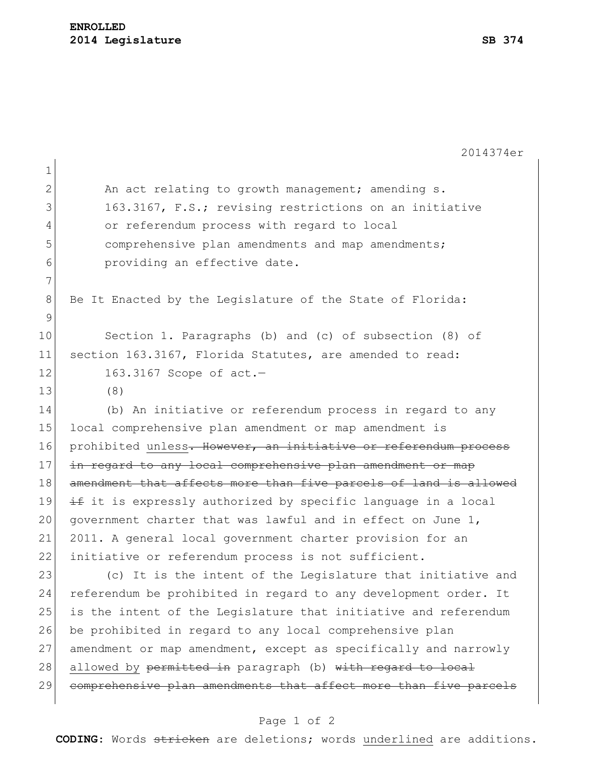|                | 2014374er                                                        |
|----------------|------------------------------------------------------------------|
| $\mathbf 1$    |                                                                  |
| $\overline{2}$ | An act relating to growth management; amending s.                |
| 3              | 163.3167, F.S.; revising restrictions on an initiative           |
| $\overline{4}$ | or referendum process with regard to local                       |
| 5              | comprehensive plan amendments and map amendments;                |
| 6              | providing an effective date.                                     |
| 7              |                                                                  |
| 8              | Be It Enacted by the Legislature of the State of Florida:        |
| $\mathsf 9$    |                                                                  |
| 10             | Section 1. Paragraphs (b) and (c) of subsection (8) of           |
| 11             | section 163.3167, Florida Statutes, are amended to read:         |
| 12             | 163.3167 Scope of act.-                                          |
| 13             | (8)                                                              |
| 14             | (b) An initiative or referendum process in regard to any         |
| 15             | local comprehensive plan amendment or map amendment is           |
| 16             | prohibited unless. However, an initiative or referendum process  |
| 17             | in regard to any local comprehensive plan amendment or map       |
| 18             | amendment that affects more than five parcels of land is allowed |
| 19             | if it is expressly authorized by specific language in a local    |
| 20             | government charter that was lawful and in effect on June 1,      |
| 21             | 2011. A general local government charter provision for an        |
| 22             | initiative or referendum process is not sufficient.              |
| 23             | (c) It is the intent of the Legislature that initiative and      |
| 24             | referendum be prohibited in regard to any development order. It  |
| 25             | is the intent of the Legislature that initiative and referendum  |
| 26             | be prohibited in regard to any local comprehensive plan          |
| 27             | amendment or map amendment, except as specifically and narrowly  |
| 28             | allowed by permitted in paragraph (b) with regard to local       |
| 29             | comprehensive plan amendments that affect more than five parcels |
|                |                                                                  |

## Page 1 of 2

**CODING**: Words stricken are deletions; words underlined are additions.